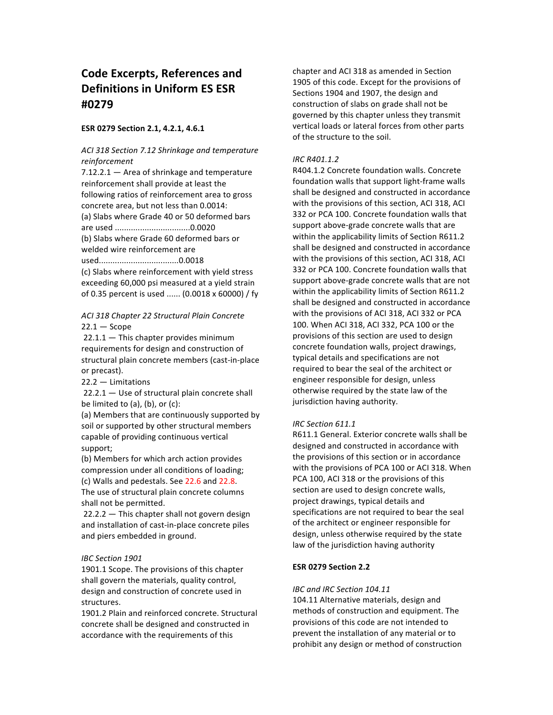# **Code Excerpts, References and Definitions in Uniform ES ESR #0279**

### **ESR 0279 Section 2.1, 4.2.1, 4.6.1**

# *ACI 318 Section 7.12 Shrinkage and temperature reinforcement*

 $7.12.2.1 -$  Area of shrinkage and temperature reinforcement shall provide at least the following ratios of reinforcement area to gross concrete area, but not less than 0.0014: (a) Slabs where Grade 40 or 50 deformed bars are used .................................0.0020 (b) Slabs where Grade 60 deformed bars or welded wire reinforcement are

used...................................0.0018

(c) Slabs where reinforcement with yield stress exceeding 60,000 psi measured at a yield strain of 0.35 percent is used ...... (0.0018 x 60000) / fy

# *ACI 318 Chapter 22 Structural Plain Concrete*  $22.1 -$ Scope

 $22.1.1 -$  This chapter provides minimum requirements for design and construction of structural plain concrete members (cast-in-place or precast).

 $22.2 -$  Limitations

 $22.2.1 -$  Use of structural plain concrete shall be limited to  $(a)$ ,  $(b)$ , or  $(c)$ :

(a) Members that are continuously supported by soil or supported by other structural members capable of providing continuous vertical support;

(b) Members for which arch action provides compression under all conditions of loading; (c) Walls and pedestals. See 22.6 and 22.8. The use of structural plain concrete columns shall not be permitted.

 $22.2.2$  — This chapter shall not govern design and installation of cast-in-place concrete piles and piers embedded in ground.

### *IBC Section 1901*

1901.1 Scope. The provisions of this chapter shall govern the materials, quality control, design and construction of concrete used in structures.

1901.2 Plain and reinforced concrete. Structural concrete shall be designed and constructed in accordance with the requirements of this

chapter and ACI 318 as amended in Section 1905 of this code. Except for the provisions of Sections 1904 and 1907, the design and construction of slabs on grade shall not be governed by this chapter unless they transmit vertical loads or lateral forces from other parts of the structure to the soil.

#### *IRC R401.1.2*

R404.1.2 Concrete foundation walls. Concrete foundation walls that support light-frame walls shall be designed and constructed in accordance with the provisions of this section, ACI 318, ACI 332 or PCA 100. Concrete foundation walls that support above-grade concrete walls that are within the applicability limits of Section R611.2 shall be designed and constructed in accordance with the provisions of this section, ACI 318, ACI 332 or PCA 100. Concrete foundation walls that support above-grade concrete walls that are not within the applicability limits of Section R611.2 shall be designed and constructed in accordance with the provisions of ACI 318, ACI 332 or PCA 100. When ACI 318, ACI 332, PCA 100 or the provisions of this section are used to design concrete foundation walls, project drawings, typical details and specifications are not required to bear the seal of the architect or engineer responsible for design, unless otherwise required by the state law of the jurisdiction having authority.

### *IRC Section 611.1*

R611.1 General. Exterior concrete walls shall be designed and constructed in accordance with the provisions of this section or in accordance with the provisions of PCA 100 or ACI 318. When PCA 100, ACI 318 or the provisions of this section are used to design concrete walls, project drawings, typical details and specifications are not required to bear the seal of the architect or engineer responsible for design, unless otherwise required by the state law of the jurisdiction having authority

# **ESR 0279 Section 2.2**

#### *IBC and IRC Section 104.11*

104.11 Alternative materials, design and methods of construction and equipment. The provisions of this code are not intended to prevent the installation of any material or to prohibit any design or method of construction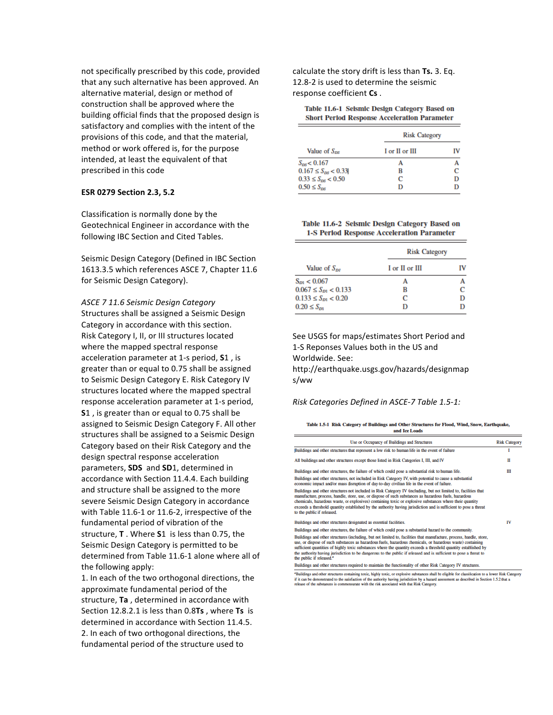not specifically prescribed by this code, provided that any such alternative has been approved. An alternative material, design or method of construction shall be approved where the building official finds that the proposed design is satisfactory and complies with the intent of the provisions of this code, and that the material, method or work offered is, for the purpose intended, at least the equivalent of that prescribed in this code

#### **ESR 0279 Section 2.3, 5.2**

Classification is normally done by the Geotechnical Engineer in accordance with the following IBC Section and Cited Tables.

Seismic Design Category (Defined in IBC Section 1613.3.5 which references ASCE 7, Chapter 11.6 for Seismic Design Category).

*ASCE 7 11.6 Seismic Design Category* Structures shall be assigned a Seismic Design Category in accordance with this section. Risk Category I, II, or III structures located where the mapped spectral response acceleration parameter at 1-s period, **S**1, is greater than or equal to 0.75 shall be assigned to Seismic Design Category E. Risk Category IV structures located where the mapped spectral response acceleration parameter at 1-s period, **S1**, is greater than or equal to 0.75 shall be assigned to Seismic Design Category F. All other structures shall be assigned to a Seismic Design Category based on their Risk Category and the design spectral response acceleration parameters, **SDS** and **SD**1, determined in accordance with Section 11.4.4. Each building and structure shall be assigned to the more severe Seismic Design Category in accordance with Table 11.6-1 or 11.6-2, irrespective of the fundamental period of vibration of the structure, **T** . Where **S**1 is less than 0.75, the Seismic Design Category is permitted to be determined from Table 11.6-1 alone where all of the following apply:

1. In each of the two orthogonal directions, the approximate fundamental period of the structure, Ta, determined in accordance with Section 12.8.2.1 is less than 0.8Ts, where Ts is determined in accordance with Section 11.4.5. 2. In each of two orthogonal directions, the fundamental period of the structure used to

calculate the story drift is less than **Ts.** 3. Eq. 12.8-2 is used to determine the seismic response coefficient Cs.

Table 11.6-1 Seismic Design Category Based on **Short Period Response Acceleration Parameter** 

|                           | <b>Risk Category</b> |   |  |  |  |
|---------------------------|----------------------|---|--|--|--|
| Value of $S_{DS}$         | I or II or III       |   |  |  |  |
| $S_{\text{ns}} < 0.167$   |                      |   |  |  |  |
| $0.167 \le S_{DS} < 0.33$ | R                    | с |  |  |  |
| $0.33 \leq S_{ps} < 0.50$ | C                    | D |  |  |  |
| $0.50 \leq S_{\text{ns}}$ |                      |   |  |  |  |

#### Table 11.6-2 Seismic Design Category Based on **1-S Period Response Acceleration Parameter**

|                             | <b>Risk Category</b> |    |  |  |  |
|-----------------------------|----------------------|----|--|--|--|
| Value of $S_{\alpha\alpha}$ | I or II or III       | IV |  |  |  |
| $S_{D1}$ < 0.067            | А                    |    |  |  |  |
| $0.067 \leq S_{D1} < 0.133$ | в                    |    |  |  |  |
| $0.133 \leq S_{D1} < 0.20$  | с                    | D  |  |  |  |
| $0.20 \le S_{\rm m}$        | D                    |    |  |  |  |

See USGS for maps/estimates Short Period and 1-S Reponses Values both in the US and

Worldwide. See:

http://earthquake.usgs.gov/hazards/designmap s/ww

#### *Risk Categories Defined in ASCE-7 Table 1.5-1:*

Table 1.5-1 Risk Category of Buildings and Other Structures for Flood, Wind, Snow, Earthquake,

| and Ice Loads                                                                                                                                                                                                                                                                                                                                                                                                                                                                                                     |                      |
|-------------------------------------------------------------------------------------------------------------------------------------------------------------------------------------------------------------------------------------------------------------------------------------------------------------------------------------------------------------------------------------------------------------------------------------------------------------------------------------------------------------------|----------------------|
| Use or Occupancy of Buildings and Structures                                                                                                                                                                                                                                                                                                                                                                                                                                                                      | <b>Risk Category</b> |
| Buildings and other structures that represent a low risk to human life in the event of failure                                                                                                                                                                                                                                                                                                                                                                                                                    |                      |
| All buildings and other structures except those listed in Risk Categories I. III, and IV                                                                                                                                                                                                                                                                                                                                                                                                                          | П                    |
| Buildings and other structures, the failure of which could pose a substantial risk to human life.                                                                                                                                                                                                                                                                                                                                                                                                                 | Ш                    |
| Buildings and other structures, not included in Risk Category IV, with potential to cause a substantial<br>economic impact and/or mass disruption of day-to-day civilian life in the event of failure.                                                                                                                                                                                                                                                                                                            |                      |
| Buildings and other structures not included in Risk Category IV (including, but not limited to, facilities that<br>manufacture, process, handle, store, use, or dispose of such substances as hazardous fuels, hazardous<br>chemicals, hazardous waste, or explosives) containing toxic or explosive substances where their quantity<br>exceeds a threshold quantity established by the authority having jurisdiction and is sufficient to pose a threat<br>to the public if released.                            |                      |
| Buildings and other structures designated as essential facilities.                                                                                                                                                                                                                                                                                                                                                                                                                                                | IV                   |
| Buildings and other structures, the failure of which could pose a substantial hazard to the community.                                                                                                                                                                                                                                                                                                                                                                                                            |                      |
| Buildings and other structures (including, but not limited to, facilities that manufacture, process, handle, store,<br>use, or dispose of such substances as hazardous fuels, hazardous chemicals, or hazardous waste) containing<br>sufficient quantities of highly toxic substances where the quantity exceeds a threshold quantity established by<br>the authority having jurisdiction to be dangerous to the public if released and is sufficient to pose a threat to<br>the public if released. <sup>4</sup> |                      |
| Buildings and other structures required to maintain the functionality of other Risk Category IV structures.                                                                                                                                                                                                                                                                                                                                                                                                       |                      |

"Buildings and other structures containing toxic, highly toxic, or explosive substances shall be eligible for classification to a lower Risk Category<br>if it can be demonstrated to the satisfaction of the authority having j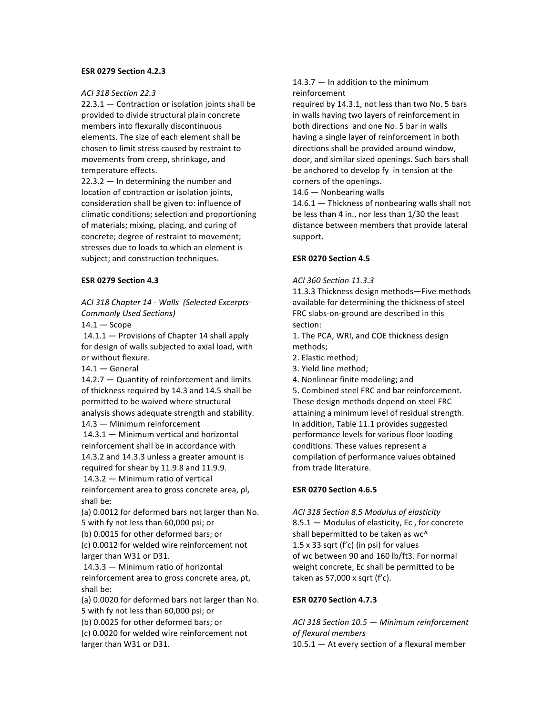#### **ESR 0279 Section 4.2.3**

#### *ACI 318 Section 22.3*

 $22.3.1 -$  Contraction or isolation joints shall be provided to divide structural plain concrete members into flexurally discontinuous elements. The size of each element shall be chosen to limit stress caused by restraint to movements from creep, shrinkage, and temperature effects.

 $22.3.2 -$  In determining the number and location of contraction or isolation joints, consideration shall be given to: influence of climatic conditions; selection and proportioning of materials; mixing, placing, and curing of concrete; degree of restraint to movement; stresses due to loads to which an element is subject; and construction techniques.

#### **ESR 0279 Section 4.3**

*ACI 318 Chapter 14 - Walls (Selected Excerpts-Commonly Used Sections)*

 $14.1 -$ Scope

 $14.1.1 -$  Provisions of Chapter 14 shall apply for design of walls subjected to axial load, with or without flexure.

 $14.1 -$  General

 $14.2.7 -$  Quantity of reinforcement and limits of thickness required by 14.3 and 14.5 shall be permitted to be waived where structural analysis shows adequate strength and stability.  $14.3 -$  Minimum reinforcement

 $14.3.1 -$  Minimum vertical and horizontal reinforcement shall be in accordance with 14.3.2 and 14.3.3 unless a greater amount is required for shear by 11.9.8 and 11.9.9.

 $14.3.2 -$  Minimum ratio of vertical reinforcement area to gross concrete area, ρl, shall be:

(a) 0.0012 for deformed bars not larger than No. 5 with fy not less than 60,000 psi; or

(b) 0.0015 for other deformed bars; or

(c) 0.0012 for welded wire reinforcement not larger than W31 or D31.

14.3.3 - Minimum ratio of horizontal reinforcement area to gross concrete area, pt, shall be:

(a) 0.0020 for deformed bars not larger than No. 5 with fy not less than 60,000 psi; or

(b) 0.0025 for other deformed bars; or

(c) 0.0020 for welded wire reinforcement not larger than W31 or D31.

#### $14.3.7 -$  In addition to the minimum reinforcement

required by 14.3.1, not less than two No. 5 bars in walls having two layers of reinforcement in both directions and one No. 5 bar in walls having a single layer of reinforcement in both directions shall be provided around window, door, and similar sized openings. Such bars shall be anchored to develop fy in tension at the corners of the openings.

 $14.6 -$  Nonbearing walls

 $14.6.1 -$  Thickness of nonbearing walls shall not be less than 4 in., nor less than 1/30 the least distance between members that provide lateral support.

# **ESR 0270 Section 4.5**

#### *ACI 360 Section 11.3.3*

11.3.3 Thickness design methods—Five methods available for determining the thickness of steel FRC slabs-on-ground are described in this section:

1. The PCA, WRI, and COE thickness design methods;

- 2. Elastic method;
- 3. Yield line method;
- 4. Nonlinear finite modeling; and

5. Combined steel FRC and bar reinforcement. These design methods depend on steel FRC attaining a minimum level of residual strength. In addition, Table 11.1 provides suggested performance levels for various floor loading conditions. These values represent a compilation of performance values obtained from trade literature.

#### **ESR 0270 Section 4.6.5**

*ACI 318 Section 8.5 Modulus of elasticity*  $8.5.1 -$  Modulus of elasticity, Ec, for concrete shall bepermitted to be taken as wc^ 1.5  $\times$  33 sqrt (f'c) (in psi) for values of wc between 90 and 160 lb/ft3. For normal weight concrete, Ec shall be permitted to be taken as  $57,000 \times$  sqrt (f'c).

#### **ESR 0270 Section 4.7.3**

*ACI 318 Section 10.5 — Minimum reinforcement of flexural members*  $10.5.1 -$  At every section of a flexural member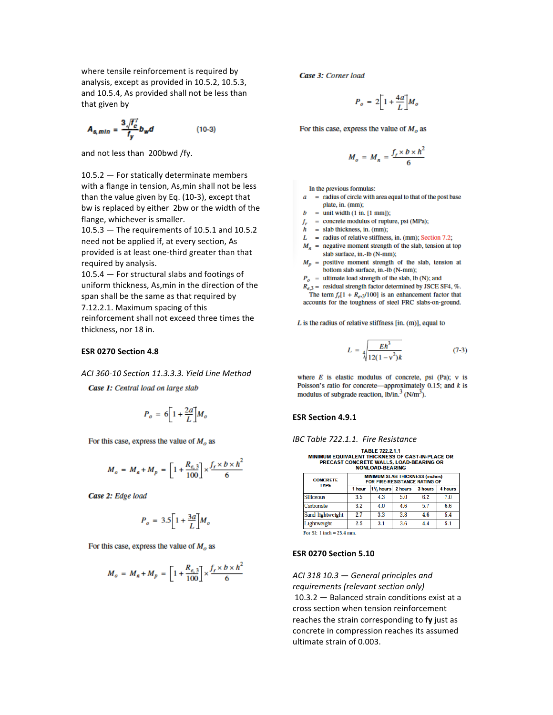where tensile reinforcement is required by analysis, except as provided in 10.5.2, 10.5.3, and 10.5.4, As provided shall not be less than that given by

$$
A_{s,min} = \frac{3\sqrt{t_c}}{t_y}b_w d \qquad (10-3)
$$

and not less than 200bwd /fy.

 $10.5.2 -$  For statically determinate members with a flange in tension, As, min shall not be less than the value given by Eq.  $(10-3)$ , except that bw is replaced by either 2bw or the width of the flange, whichever is smaller.

 $10.5.3$  - The requirements of 10.5.1 and 10.5.2 need not be applied if, at every section, As provided is at least one-third greater than that required by analysis.

 $10.5.4 -$  For structural slabs and footings of uniform thickness, As, min in the direction of the span shall be the same as that required by 7.12.2.1. Maximum spacing of this reinforcement shall not exceed three times the thickness, nor 18 in.

#### **ESR 0270 Section 4.8**

*ACI 360-10 Section 11.3.3.3. Yield Line Method*

Case 1: Central load on large slab

$$
P_o\,=\,6\bigg[1+{2a\over L}\bigg]M_o
$$

For this case, express the value of  $M_0$  as

$$
M_o = M_n + M_p = \left[1 + \frac{R_{e,3}}{100}\right] \times \frac{f_r \times b \times h^2}{6}
$$

Case 2: Edge load

$$
P_o\,=\,3.5\bigg[1+\frac{3a}{L}\bigg]M_o
$$

For this case, express the value of  $M_0$  as

$$
M_o = M_n + M_p = \left[1 + \frac{R_{e,3}}{100}\right] \times \frac{f_r \times b \times h^2}{6}
$$

Case 3: Corner load

$$
P_o = 2 \left[ 1 + \frac{4a}{L} \right] M_o
$$

For this case, express the value of  $M<sub>o</sub>$  as

$$
M_o = M_n = \frac{f_r \times b \times h^2}{6}
$$

In the previous formulas:

- $a$  = radius of circle with area equal to that of the post base plate, in. (mm);
- $b =$  unit width (1 in. [1 mm]);
- $f_r$  = concrete modulus of rupture, psi (MPa);
- $h =$  slab thickness, in. (mm);
- $L =$  radius of relative stiffness, in. (mm); Section 7.2;
- $M_n$  = negative moment strength of the slab, tension at top
- slab surface, in.-lb (N-mm);  $M_p$  = positive moment strength of the slab, tension at bottom slab surface, in.-lb (N-mm);
- $P_o$  = ultimate load strength of the slab, lb (N); and

 $R_{e,3}$  = residual strength factor determined by JSCE SF4, %. The term  $f_r[1 + R_e, 3/100]$  is an enhancement factor that accounts for the toughness of steel FRC slabs-on-ground.

 $L$  is the radius of relative stiffness [in. (m)], equal to

$$
L = \sqrt{\frac{Eh^3}{12(1 - v^2)k}}
$$
 (7-3)

where  $E$  is elastic modulus of concrete, psi (Pa);  $v$  is Poisson's ratio for concrete—approximately 0.15; and  $k$  is modulus of subgrade reaction,  $1b/in.^3$  (N/m<sup>3</sup>).

#### **ESR Section 4.9.1**

*IBC Table 722.1.1. Fire Resistance*

TABLE 722.2.1.1<br>MINIMUM EQUIVALENT THICKNESS OF CAST-IN-PLACE OR PRECAST CONCRETE WALLS, LOAD-BEARING OR<br>NONLOAD-BEARING OR

| <b>CONCRETE</b><br><b>TYPF</b> | <b>MINIMUM SLAB THICKNESS (inches)</b><br><b>FOR FIRE-RESISTANCE RATING OF</b> |     |                                             |     |         |  |  |  |  |
|--------------------------------|--------------------------------------------------------------------------------|-----|---------------------------------------------|-----|---------|--|--|--|--|
|                                | 1 hour                                                                         |     | 1 <sup>1</sup> / <sub>2</sub> hours 2 hours |     | 4 hours |  |  |  |  |
| Siliceous                      | 3.5                                                                            | 4.3 | 5.0                                         | 6.2 | 7.0     |  |  |  |  |
| Carbonate                      | 3.2                                                                            | 4.0 | 4.6                                         | 5.7 | 6.6     |  |  |  |  |
| Sand-lightweight               | 2.7                                                                            | 3.3 | 3.8                                         | 4.6 | 5.4     |  |  |  |  |
| Lightweight                    | 2.5                                                                            | 3.1 | 3.6                                         | 4.4 | 5.1     |  |  |  |  |
| .                              |                                                                                |     |                                             |     |         |  |  |  |  |

For SI:  $1$  inch = 25.4 mm.

#### **ESR 0270 Section 5.10**

# ACI 318 10.3 – General principles and *requirements (relevant section only)*  $10.3.2 -$  Balanced strain conditions exist at a cross section when tension reinforcement reaches the strain corresponding to fy just as concrete in compression reaches its assumed ultimate strain of 0.003.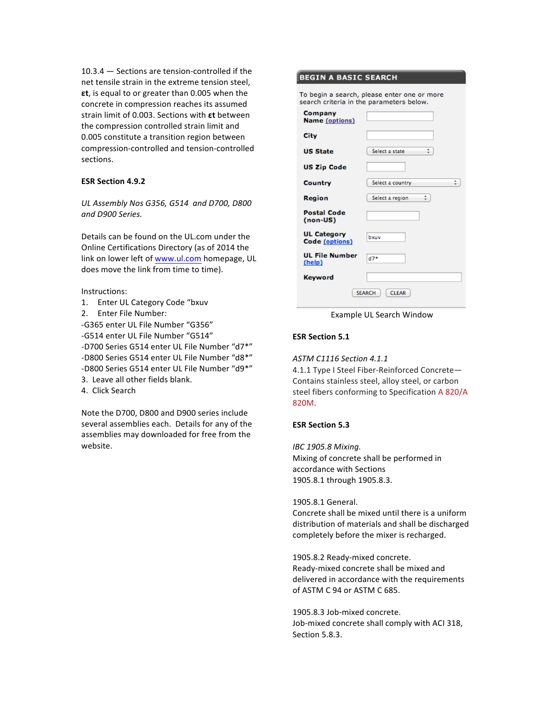$10.3.4 -$  Sections are tension-controlled if the net tensile strain in the extreme tension steel, **εt**, is equal to or greater than 0.005 when the concrete in compression reaches its assumed strain limit of 0.003. Sections with *εt* between the compression controlled strain limit and 0.005 constitute a transition region between compression-controlled and tension-controlled sections.

# **ESR Section 4.9.2**

*UL Assembly Nos G356, G514 and D700, D800 and D900 Series.*

Details can be found on the UL.com under the Online Certifications Directory (as of 2014 the link on lower left of www.ul.com homepage, UL does move the link from time to time).

Instructions:

- 1. Enter UL Category Code "bxuv
- 2. Enter File Number:

-G365 enter UL File Number "G356" -G514 enter UL File Number "G514" -D700 Series G514 enter UL File Number "d7\*" -D800 Series G514 enter UL File Number "d8\*" -D800 Series G514 enter UL File Number "d9\*" 3. Leave all other fields blank.

4. Click Search

Note the D700, D800 and D900 series include several assemblies each. Details for any of the assemblies may downloaded for free from the website. 

#### **BEGIN A BASIC SEARCH**

To begin a search, please enter one or more search criteria in the parameters below.

| Company<br><b>Name</b> (options)     |                               |
|--------------------------------------|-------------------------------|
| City                                 |                               |
| <b>US State</b>                      | ÷<br>Select a state           |
| <b>US Zip Code</b>                   |                               |
| Country                              | ÷<br>Select a country         |
| Region                               | ÷<br>Select a region          |
| <b>Postal Code</b><br>(non-US)       |                               |
| <b>UL Category</b><br>Code (options) | bxuv                          |
| <b>UL File Number</b><br>(help)      | $d7*$                         |
| <b>Keyword</b>                       |                               |
|                                      | <b>SEARCH</b><br><b>CLEAR</b> |

Example UL Search Window

# **ESR Section 5.1**

*ASTM C1116 Section 4.1.1*

4.1.1 Type I Steel Fiber-Reinforced Concrete-Contains stainless steel, alloy steel, or carbon steel fibers conforming to Specification A 820/A 820M.

#### **ESR Section 5.3**

*IBC 1905.8 Mixing.* Mixing of concrete shall be performed in accordance with Sections 1905.8.1 through 1905.8.3.

1905.8.1 General.

Concrete shall be mixed until there is a uniform distribution of materials and shall be discharged completely before the mixer is recharged.

1905.8.2 Ready-mixed concrete. Ready-mixed concrete shall be mixed and delivered in accordance with the requirements of ASTM C 94 or ASTM C 685.

1905.8.3 Job-mixed concrete. Job-mixed concrete shall comply with ACI 318, Section 5.8.3.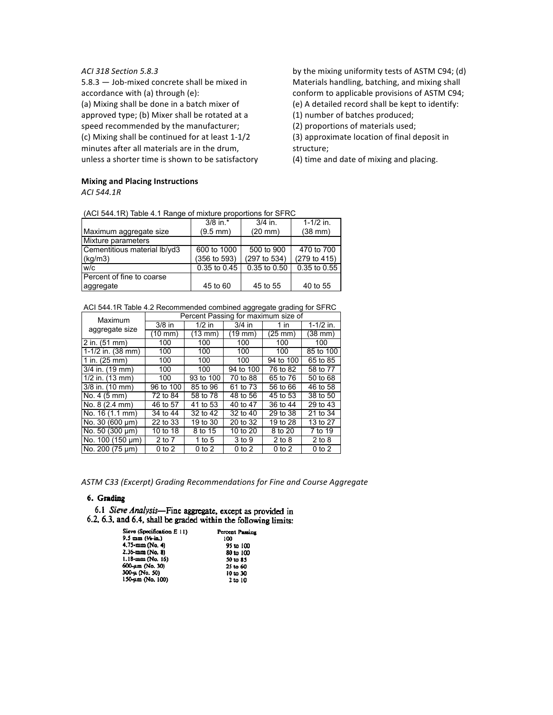### *ACI 318 Section 5.8.3*

 $5.8.3 -$  Job-mixed concrete shall be mixed in accordance with (a) through (e): (a) Mixing shall be done in a batch mixer of approved type; (b) Mixer shall be rotated at a speed recommended by the manufacturer; (c) Mixing shall be continued for at least 1-1/2 minutes after all materials are in the drum, unless a shorter time is shown to be satisfactory

**Mixing and Placing Instructions** 

*ACI 544.1R*

(ACI 544.1R) Table 4.1 Range of mixture proportions for SFRC

|                              | $3/8$ in.*           | $3/4$ in.      | $1 - 1/2$ in. |
|------------------------------|----------------------|----------------|---------------|
| Maximum aggregate size       | $(9.5 \, \text{mm})$ | $(20$ mm $)$   | $(38$ mm $)$  |
| Mixture parameters           |                      |                |               |
| Cementitious material lb/yd3 | 600 to 1000          | 500 to 900     | 470 to 700    |
| $\lfloor$ (kg/m3)            | (356 to 593)         | (297 to 534)   | (279 to 415)  |
| lw/c                         | 0.35 to 0.45         | $0.35$ to 0.50 | 0.35 to 0.55  |
| l Percent of fine to coarse  |                      |                |               |
| aggregate                    | 45 to 60             | 45 to 55       | 40 to 55      |

#### ACI 544.1R Table 4.2 Recommended combined aggregate grading for SFRC

| Maximum                     | Percent Passing for maximum size of |              |              |              |               |  |  |  |
|-----------------------------|-------------------------------------|--------------|--------------|--------------|---------------|--|--|--|
|                             | $3/8$ in                            | $1/2$ in     | $3/4$ in     | $1$ in       | $1 - 1/2$ in. |  |  |  |
| aggregate size              | $(10$ mm $)$                        | $(13$ mm $)$ | $(19$ mm $)$ | $(25$ mm $)$ | $(38$ mm $)$  |  |  |  |
| $2$ in. (51 mm)             | 100                                 | 100          | 100          | 100          | 100           |  |  |  |
| 1-1/2 in. $(38 \text{ mm})$ | 100                                 | 100          | 100          | 100          | 85 to 100     |  |  |  |
| 1 in. $(25 \, \text{mm})$   | 100                                 | 100          | 100          | 94 to 100    | 65 to 85      |  |  |  |
| 3/4 in. (19 mm)             | 100                                 | 100          | 94 to 100    | 76 to 82     | 58 to 77      |  |  |  |
| $1/2$ in. $(13$ mm)         | 100                                 | 93 to 100    | 70 to 88     | 65 to 76     | 50 to 68      |  |  |  |
| 3/8 in. (10 mm)             | 96 to 100                           | 85 to 96     | 61 to 73     | 56 to 66     | 46 to 58      |  |  |  |
| No. 4 (5 mm)                | 72 to 84                            | 58 to 78     | 48 to 56     | 45 to 53     | 38 to 50      |  |  |  |
| No. 8 (2.4 mm)              | 46 to 57                            | 41 to 53     | 40 to 47     | 36 to 44     | 29 to 43      |  |  |  |
| No. 16 (1.1 mm)             | 34 to 44                            | 32 to 42     | 32 to 40     | 29 to 38     | 21 to 34      |  |  |  |
| No. 30 (600 µm)             | 22 to 33                            | 19 to 30     | 20 to 32     | 19 to 28     | 13 to 27      |  |  |  |
| No. 50 (300 µm)             | 10 to 18                            | 8 to 15      | 10 to 20     | 8 to 20      | 7 to 19       |  |  |  |
| No. 100 (150 µm)            | 2 to 7                              | 1 to 5       | 3 to 9       | $2$ to $8$   | $2$ to $8$    |  |  |  |
| No. 200 (75 um)             | $0$ to $2$                          | $0$ to $2$   | $0$ to $2$   | $0$ to $2$   | $0$ to $2$    |  |  |  |

ASTM C33 (Excerpt) Grading Recommendations for Fine and Course Aggregate

#### 6. Grading

6.1 Sieve Analysis-Fine aggregate, except as provided in 6.2, 6.3, and 6.4, shall be graded within the following limits:

| Sieve (Specification E 11) | Percent Passing |
|----------------------------|-----------------|
| 9.5 mm (14-in.)            | 100             |
| 4.75-mm (No. 4)            | 95 to 100       |
| 2.36-mm (No. 8)            | 80 to 100       |
| 1.18-mm (No. 16)           | 50 to 85        |
| 600-am (No. 30)            | 25 to 60        |
| 300-µ (No. 50)             | 10 to 30        |
| 150-um (No. 100)           | 2 to 10         |

by the mixing uniformity tests of ASTM C94; (d) Materials handling, batching, and mixing shall conform to applicable provisions of ASTM C94; (e) A detailed record shall be kept to identify:

(1) number of batches produced;

(2) proportions of materials used;

(3) approximate location of final deposit in structure;

(4) time and date of mixing and placing.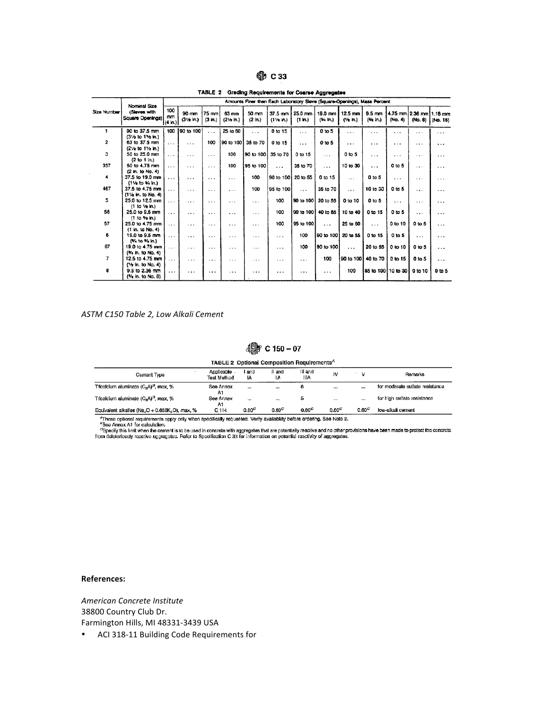| 41b |  |
|-----|--|
|-----|--|

TABLE 2 Grading Requirements for Coarse Aggregates

|                | Nominal Size                           | Amounts Finer than Each Laboratory Sleve (Square-Openings), Mass Percent |                     |                 |                                           |                     |                           |                    |                    |                          |                             |                                    |                   |          |
|----------------|----------------------------------------|--------------------------------------------------------------------------|---------------------|-----------------|-------------------------------------------|---------------------|---------------------------|--------------------|--------------------|--------------------------|-----------------------------|------------------------------------|-------------------|----------|
| Size Number    | (Sleves with<br>Square Openings)       | 100<br>mm<br>$(4 \ln)$                                                   | 90 mm<br>(31⁄2 in.) | 75 mm<br>(3 h.) | $63 \text{ mm}$<br>$(2\frac{1}{2} \ln 1)$ | 50 mm<br>$(2 \ln.)$ | 37.5 mm<br>$(11/2 \ln 1)$ | 25.0 mm<br>(1 in.) | 19.0 mm<br>(% in.) | 12.5 mm<br>$(1/2 \ln 3)$ | $9.5 \text{ mm}$<br>(% in.) | 4.75 mm 2.36 mm 1.18 mm<br>(No. 4) | (No. 8)           | (No. 18) |
|                | 90 to 37.5 mm                          | 100                                                                      | 90 to 100           | $\cdots$        | 25 to 60                                  | $\cdots$            | 0 to 15                   | $\cdots$           | 0 to 5             | $\cdots$                 | $\cdots$                    | $\cdots$                           | .                 | .        |
|                | (31/2 to 11/2 in.)                     |                                                                          |                     |                 |                                           |                     |                           |                    |                    |                          |                             |                                    |                   |          |
| $\overline{2}$ | 63 to 37.5 mm                          | $\cdots$                                                                 | $\cdots$            | 100             | 90 to 100                                 | 35 to 70            | 0 to 15                   | $\cdots$           | 0 <sub>to 5</sub>  | .                        | $\cdots$                    | $\cdots$                           | .                 | $\cdots$ |
| 3              | (21/2 to 11/2 in.)<br>50 to 25.0 mm    |                                                                          |                     |                 | 100                                       | 90 to 100           | 35 to 70                  | 0 to 15            |                    | 0 to 5                   |                             |                                    |                   |          |
|                | (2 to 1 in.)                           | $\cdots$                                                                 | $\cdots$            | $\cdots$        |                                           |                     |                           |                    | $\cdots$           |                          | $\cdots$                    | $\cdots$                           | $\cdots$          | .        |
| 357            | 50 to 4.75 mm                          | .                                                                        | $\cdots$            | $\cdots$        | 100                                       | 95 to 100           | $\cdots$                  | 35 to 70           | $\cdots$           | 10 to 30                 | $\cdots$                    | $0$ to 5                           | $\cdots$          | $\cdots$ |
|                | (2 in. to No. 4)                       |                                                                          |                     |                 |                                           |                     |                           |                    |                    |                          |                             |                                    |                   |          |
| 4              | 37.5 to 19.0 mm                        | $\cdots$                                                                 | $\cdots$            | $\cdots$        | $\cdots$                                  | 100                 | 90 to 100                 | 20 to 55           | 0 to 15            | $\cdots$                 | 0 to 5                      | $\cdots$                           | $\cdots$          | $\cdots$ |
|                | (11/2 to 1/4 in.)                      |                                                                          |                     |                 |                                           |                     |                           |                    |                    |                          |                             |                                    |                   |          |
| 467            | 37.5 to 4.75 mm                        | $\cdots$                                                                 | $\sim$              | $\cdots$        | .                                         | 100                 | 95 to 100                 | $\cdots$           | 35 to 70           | $\cdots$                 | 10 to 30                    | 0 to 5                             | $\cdots$          | .        |
| 5              | (11/2 in. to No. 4)<br>25.0 to 12.5 mm |                                                                          |                     |                 |                                           |                     |                           |                    |                    |                          |                             |                                    |                   |          |
|                | (1 to 16 in.)                          | .                                                                        | $\cdots$            | $\cdots$        | $\cdots$                                  | $\cdots$            | 100                       | 90 to 100          | 20 to 55           | 0 to 10                  | 0 to 5                      | $\cdots$                           | $\cdots$          | .        |
| 56             | 25.0 to 9.5 mm                         | $\cdots$                                                                 | .                   | $\cdots$        | $\cdots$                                  | $\cdots$            | 100                       | 90 to 100          | 40 to 85           | 10 to 40                 | 0 to 15                     | 0 to 5                             | $\cdots$          | $\cdots$ |
|                | (1 to 36 in.)                          |                                                                          |                     |                 |                                           |                     |                           |                    |                    |                          |                             |                                    |                   |          |
| 57             | 25.0 to 4.75 mm                        | $\cdots$                                                                 | .                   | $\cdots$        | $\cdots$                                  | .                   | 100                       | 95 to 100          | $\cdots$           | 25 to 60                 | $\cdots$                    | 0 to 10                            | 0 to 5            | .        |
|                | (1 in. to No. 4)                       |                                                                          |                     |                 |                                           |                     |                           |                    |                    |                          |                             |                                    |                   |          |
| 6              | 19.0 to 9.5 mm                         | $\cdots$                                                                 | .                   | $\cdots$        | $\cdots$                                  | .                   | $\cdots$                  | 100                | 90 to 100          | 20 to 55                 | 0 to 15                     | 0 to 5                             | $\cdots$          | .        |
| 67             | (% to % in.)                           |                                                                          |                     |                 |                                           |                     |                           |                    |                    |                          |                             |                                    |                   |          |
|                | 19.0 to 4.75 mm<br>(% in, to No. 4)    | $\cdots$                                                                 | $\cdots$            | $\cdots$        | $\cdots$                                  | $\cdots$            | .                         | 100                | 90 to 100          | $\cdots$                 | 20 to 55                    | 0 to 10                            | 0 to 5            | .        |
| $\overline{7}$ | 12.5 to 4.75 mm                        |                                                                          |                     |                 |                                           |                     |                           |                    | 100                | 90 to 100                | 40 to 70                    | 0 to 15                            | 0 <sub>to 5</sub> |          |
|                | (1/2 in. to No. 4)                     | $\cdots$                                                                 | $\cdots$            | $\cdot$         | $\cdots$                                  | .                   | .                         | $\cdots$           |                    |                          |                             |                                    |                   | .        |
| 8              | 9.5 to 2.36 mm                         | $\cdots$                                                                 | $\cdots$            | $\cdots$        | $\cdots$                                  | $\cdots$            | .                         | .                  | $\cdots$           | 100                      |                             | 85 to 100 [10 to 30]               | 0 to 10           | 0 to 5   |
|                | (% in. to No. 8)                       |                                                                          |                     |                 |                                           |                     |                           |                    |                    |                          |                             |                                    |                   |          |

#### *ASTM C150 Table 2, Low Alkali Cement*

# 4 C 150 - 07

TABLE 2 Optional Composition Requirements<sup>A</sup>

| Cement Type                                                             | Applicable<br>Test Method | I and<br>١A          | II and<br>l١A | III and<br><b>IIIA</b> | IV           |                   | Remarks                         |
|-------------------------------------------------------------------------|---------------------------|----------------------|---------------|------------------------|--------------|-------------------|---------------------------------|
| Tricalcium aluminate (C-A) <sup>B</sup> , max, %                        | See Annex<br>A٦           | $\ddot{\phantom{a}}$ | $\cdots$      |                        | $\ddotsc$    |                   | for moderate sulfate resistance |
| Tricalcium aluminate $(C_3A)^B$ , max, %                                | See Annex<br>A۱           | $\cdots$             |               |                        |              | $\cdots$          | for high sulfate resistance     |
| Equivalent alkalies (Na <sub>2</sub> O + 0.658K <sub>2</sub> O), max, % | C 114                     | $0.60^\circ$         | 0.60C         | 0.60 <sup>C</sup>      | $0.60^\circ$ | 0.60 <sup>C</sup> | low-alkali cement               |

From deleteriously related these responses apply only when specifically requested. Verify availability before ordering. See Note 2.<br>These points and requirements apply only when specifically requested. Verify availability

#### **References:**

*American Concrete Institute*  38800 Country Club Dr. Farmington Hills, MI 48331-3439 USA

• ACI 318-11 Building Code Requirements for